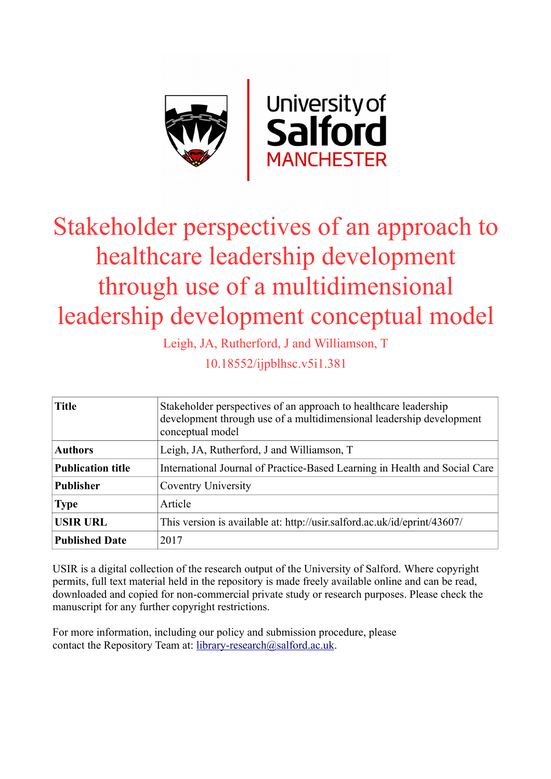

# Stakeholder perspectives of an approach to healthcare leadership development through use of a multidimensional leadership development conceptual model

Leigh, JA, Rutherford, J and Williamson, T

10.18552/ijpblhsc.v5i1.381

| <b>Title</b>             | Stakeholder perspectives of an approach to healthcare leadership<br>development through use of a multidimensional leadership development<br>conceptual model |
|--------------------------|--------------------------------------------------------------------------------------------------------------------------------------------------------------|
| <b>Authors</b>           | Leigh, JA, Rutherford, J and Williamson, T                                                                                                                   |
| <b>Publication title</b> | International Journal of Practice-Based Learning in Health and Social Care                                                                                   |
| <b>Publisher</b>         | Coventry University                                                                                                                                          |
| <b>Type</b>              | Article                                                                                                                                                      |
| <b>USIR URL</b>          | This version is available at: http://usir.salford.ac.uk/id/eprint/43607/                                                                                     |
| <b>Published Date</b>    | 2017                                                                                                                                                         |

USIR is a digital collection of the research output of the University of Salford. Where copyright permits, full text material held in the repository is made freely available online and can be read, downloaded and copied for non-commercial private study or research purposes. Please check the manuscript for any further copyright restrictions.

For more information, including our policy and submission procedure, please contact the Repository Team at: [library-research@salford.ac.uk.](mailto:library-research@salford.ac.uk)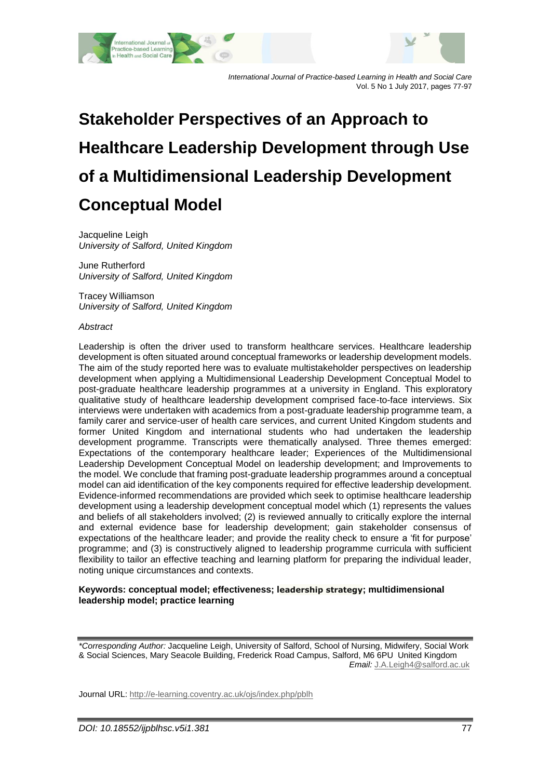

*International Journal of Practice-based Learning in Health and Social Care* Vol. 5 No 1 July 2017, pages 77-97

# **Stakeholder Perspectives of an Approach to Healthcare Leadership Development through Use of a Multidimensional Leadership Development Conceptual Model**

Jacqueline Leigh *University of Salford, United Kingdom*

June Rutherford *University of Salford, United Kingdom*

Tracey Williamson *University of Salford, United Kingdom*

#### *Abstract*

Leadership is often the driver used to transform healthcare services. Healthcare leadership development is often situated around conceptual frameworks or leadership development models. The aim of the study reported here was to evaluate multistakeholder perspectives on leadership development when applying a Multidimensional Leadership Development Conceptual Model to post-graduate healthcare leadership programmes at a university in England. This exploratory qualitative study of healthcare leadership development comprised face-to-face interviews. Six interviews were undertaken with academics from a post-graduate leadership programme team, a family carer and service-user of health care services, and current United Kingdom students and former United Kingdom and international students who had undertaken the leadership development programme. Transcripts were thematically analysed. Three themes emerged: Expectations of the contemporary healthcare leader; Experiences of the Multidimensional Leadership Development Conceptual Model on leadership development; and Improvements to the model. We conclude that framing post-graduate leadership programmes around a conceptual model can aid identification of the key components required for effective leadership development. Evidence-informed recommendations are provided which seek to optimise healthcare leadership development using a leadership development conceptual model which (1) represents the values and beliefs of all stakeholders involved; (2) is reviewed annually to critically explore the internal and external evidence base for leadership development; gain stakeholder consensus of expectations of the healthcare leader; and provide the reality check to ensure a 'fit for purpose' programme; and (3) is constructively aligned to leadership programme curricula with sufficient flexibility to tailor an effective teaching and learning platform for preparing the individual leader, noting unique circumstances and contexts.

#### **Keywords: conceptual model; effectiveness; leadership strategy; multidimensional leadership model; practice learning**

*\*Corresponding Author:* Jacqueline Leigh, University of Salford, School of Nursing, Midwifery, Social Work & Social Sciences, Mary Seacole Building, Frederick Road Campus, Salford, M6 6PU United Kingdom *Email:* [J.A.Leigh4@salford.ac.uk](mailto:J.A.Leigh4@salford.ac.uk)

Journal URL:<http://e-learning.coventry.ac.uk/ojs/index.php/pblh>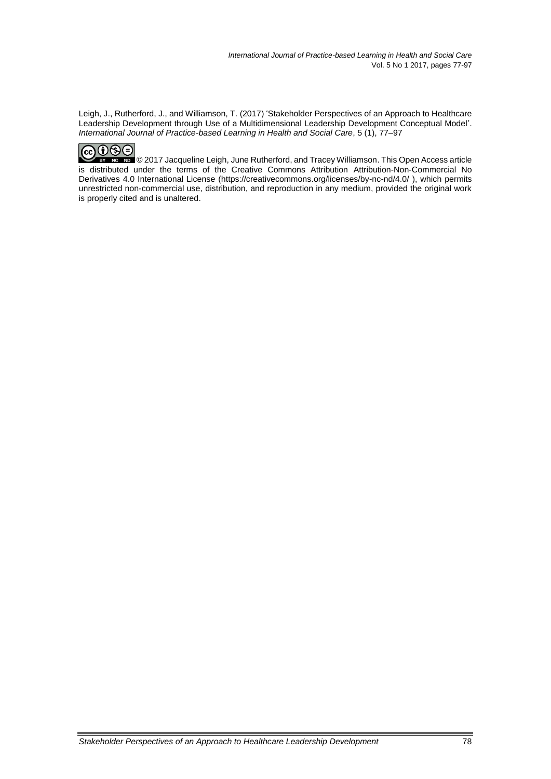Leigh, J., Rutherford, J., and Williamson, T. (2017) 'Stakeholder Perspectives of an Approach to Healthcare Leadership Development through Use of a Multidimensional Leadership Development Conceptual Model'. *International Journal of Practice-based Learning in Health and Social Care*, 5 (1), 77–97

© 2017 Jacqueline Leigh, June Rutherford, and Tracey Williamson. This Open Access article is distributed under the terms of the Creative Commons Attribution Attribution-Non-Commercial No Derivatives 4.0 International License (https://creativecommons.org/licenses/by-nc-nd/4.0/ ), which permits unrestricted non-commercial use, distribution, and reproduction in any medium, provided the original work is properly cited and is unaltered.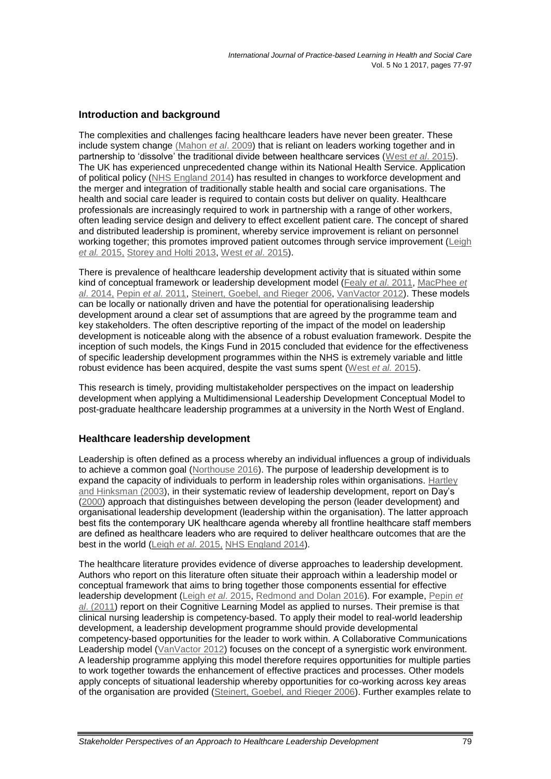# **Introduction and background**

The complexities and challenges facing healthcare leaders have never been greater. These include system change (Mahon *et al*. 2009) that is reliant on leaders working together and in partnership to 'dissolve' the traditional divide between healthcare services (West *et al*[. 2015\)](#page-21-0). The UK has experienced unprecedented change within its National Health Service. Application of political policy [\(NHS England 2014\)](#page-20-0) has resulted in changes to workforce development and the merger and integration of traditionally stable health and social care organisations. The health and social care leader is required to contain costs but deliver on quality. Healthcare professionals are increasingly required to work in partnership with a range of other workers, often leading service design and delivery to effect excellent patient care. The concept of shared and distributed leadership is prominent, whereby service improvement is reliant on personnel working together; this promotes improved patient outcomes through service improvement (Leigh *et al.* [2015,](#page-19-0) [Storey and Holti 2013,](#page-20-1) West *et al*[. 2015\)](#page-21-0).

There is prevalence of healthcare leadership development activity that is situated within some kind of conceptual framework or leadership development model (Fealy *et al*[. 2011,](#page-18-0) [MacPhee](#page-19-1) *et al*[. 2014,](#page-19-1) Pepin *et al*[. 2011,](#page-20-2) [Steinert, Goebel, and Rieger 2006,](#page-20-3) [VanVactor 2012\)](#page-21-1). These models can be locally or nationally driven and have the potential for operationalising leadership development around a clear set of assumptions that are agreed by the programme team and key stakeholders. The often descriptive reporting of the impact of the model on leadership development is noticeable along with the absence of a robust evaluation framework. Despite the inception of such models, the Kings Fund in 2015 concluded that evidence for the effectiveness of specific leadership development programmes within the NHS is extremely variable and little robust evidence has been acquired, despite the vast sums spent [\(West](#page-21-0) *et al.* 2015).

This research is timely, providing multistakeholder perspectives on the impact on leadership development when applying a Multidimensional Leadership Development Conceptual Model to post-graduate healthcare leadership programmes at a university in the North West of England.

### **Healthcare leadership development**

Leadership is often defined as a process whereby an individual influences a group of individuals to achieve a common goal [\(Northouse 2016\)](#page-20-4). The purpose of leadership development is to expand the capacity of individuals to perform in leadership roles within organisations. [Hartley](#page-19-2)  [and Hinksman \(2003\)](#page-19-2), in their systematic review of leadership development, report on Day's [\(2000\)](#page-18-1) approach that distinguishes between developing the person (leader development) and organisational leadership development (leadership within the organisation). The latter approach best fits the contemporary UK healthcare agenda whereby all frontline healthcare staff members are defined as healthcare leaders who are required to deliver healthcare outcomes that are the best in the world (Leigh *et al*[. 2015,](#page-19-0) [NHS England 2014\)](#page-20-0).

The healthcare literature provides evidence of diverse approaches to leadership development. Authors who report on this literature often situate their approach within a leadership model or conceptual framework that aims to bring together those components essential for effective leadership development (Leigh *et al*[. 2015,](#page-19-0) [Redmond and Dolan 2016\)](#page-20-5). For example, [Pepin](#page-20-2) *et al*[. \(2011\)](#page-20-2) report on their Cognitive Learning Model as applied to nurses. Their premise is that clinical nursing leadership is competency-based. To apply their model to real-world leadership development, a leadership development programme should provide developmental competency-based opportunities for the leader to work within. A Collaborative Communications Leadership model [\(VanVactor 2012\)](#page-21-1) focuses on the concept of a synergistic work environment. A leadership programme applying this model therefore requires opportunities for multiple parties to work together towards the enhancement of effective practices and processes. Other models apply concepts of situational leadership whereby opportunities for co-working across key areas of the organisation are provided [\(Steinert, Goebel, and Rieger 2006\)](#page-20-3). Further examples relate to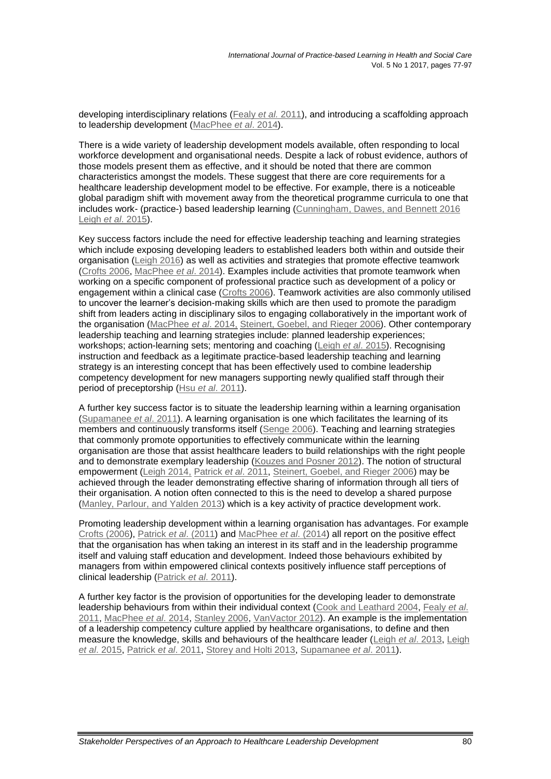developing interdisciplinary relations [\(Fealy](#page-18-0) *et al.* 2011), and introducing a scaffolding approach to leadership development [\(MacPhee](#page-19-1) *et al*. 2014).

There is a wide variety of leadership development models available, often responding to local workforce development and organisational needs. Despite a lack of robust evidence, authors of those models present them as effective, and it should be noted that there are common characteristics amongst the models. These suggest that there are core requirements for a healthcare leadership development model to be effective. For example, there is a noticeable global paradigm shift with movement away from the theoretical programme curricula to one that includes work- (practice-) based leadership learning [\(Cunningham, Dawes, and Bennett 2016](#page-18-2) Leigh *et al*[. 2015\)](#page-19-0).

Key success factors include the need for effective leadership teaching and learning strategies which include exposing developing leaders to established leaders both within and outside their organisation [\(Leigh 2016\)](#page-19-3) as well as activities and strategies that promote effective teamwork [\(Crofts 2006,](#page-18-3) [MacPhee](#page-19-1) *et al*. 2014). Examples include activities that promote teamwork when working on a specific component of professional practice such as development of a policy or engagement within a clinical case [\(Crofts 2006\)](#page-18-3). Teamwork activities are also commonly utilised to uncover the learner's decision-making skills which are then used to promote the paradigm shift from leaders acting in disciplinary silos to engaging collaboratively in the important work of the organisation [\(MacPhee](#page-19-1) *et al*. 2014, [Steinert, Goebel, and Rieger 2006\)](#page-20-3). Other contemporary leadership teaching and learning strategies include: planned leadership experiences; workshops; action-learning sets; mentoring and coaching (Leigh *et al*[. 2015\)](#page-19-0). Recognising instruction and feedback as a legitimate practice-based leadership teaching and learning strategy is an interesting concept that has been effectively used to combine leadership competency development for new managers supporting newly qualified staff through their period of preceptorship (Hsu *et al*[. 2011\)](#page-19-4).

A further key success factor is to situate the leadership learning within a learning organisation [\(Supamanee](#page-20-6) *et al*. 2011). A learning organisation is one which facilitates the learning of its members and continuously transforms itself [\(Senge 2006\)](#page-20-7). Teaching and learning strategies that commonly promote opportunities to effectively communicate within the learning organisation are those that assist healthcare leaders to build relationships with the right people and to demonstrate exemplary leadership [\(Kouzes and Posner 2012\)](#page-19-5). The notion of structural empowerment [\(Leigh 2014,](#page-19-6) [Patrick](#page-20-8) *et al*. 2011, [Steinert, Goebel, and Rieger 2006\)](#page-20-3) may be achieved through the leader demonstrating effective sharing of information through all tiers of their organisation. A notion often connected to this is the need to develop a shared purpose (Manley, Parlour, [and Yalden 2013\)](#page-19-7) which is a key activity of practice development work.

Promoting leadership development within a learning organisation has advantages. For example [Crofts \(2006\)](#page-18-3), Patrick *et al*[. \(2011\)](#page-20-8) and [MacPhee](#page-19-1) *et al*. (2014) all report on the positive effect that the organisation has when taking an interest in its staff and in the leadership programme itself and valuing staff education and development. Indeed those behaviours exhibited by managers from within empowered clinical contexts positively influence staff perceptions of clinical leadership [\(Patrick](#page-20-8) *et al*. 2011).

A further key factor is the provision of opportunities for the developing leader to demonstrate leadership behaviours from within their individual context [\(Cook and Leathard 2004,](#page-18-4) [Fealy](#page-18-0) *et al*. [2011,](#page-18-0) [MacPhee](#page-19-1) *et al*. 2014, [Stanley 2006,](#page-20-9) [VanVactor 2012\)](#page-21-1). An example is the implementation of a leadership competency culture applied by healthcare organisations, to define and then measure the knowledge, skills and behaviours of the healthcare leader (Leigh *et al*[. 2013,](#page-19-8) [Leigh](#page-19-0)  *et al*[. 2015,](#page-19-0) [Patrick](#page-20-8) *et al*. 2011, [Storey and Holti 2013,](#page-20-1) [Supamanee](#page-20-6) *et al*. 2011).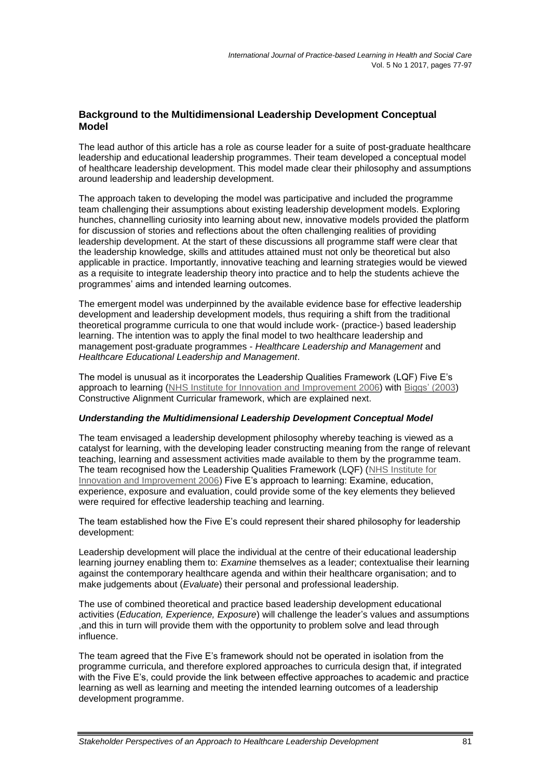### **Background to the Multidimensional Leadership Development Conceptual Model**

The lead author of this article has a role as course leader for a suite of post-graduate healthcare leadership and educational leadership programmes. Their team developed a conceptual model of healthcare leadership development. This model made clear their philosophy and assumptions around leadership and leadership development.

The approach taken to developing the model was participative and included the programme team challenging their assumptions about existing leadership development models. Exploring hunches, channelling curiosity into learning about new, innovative models provided the platform for discussion of stories and reflections about the often challenging realities of providing leadership development. At the start of these discussions all programme staff were clear that the leadership knowledge, skills and attitudes attained must not only be theoretical but also applicable in practice. Importantly, innovative teaching and learning strategies would be viewed as a requisite to integrate leadership theory into practice and to help the students achieve the programmes' aims and intended learning outcomes.

The emergent model was underpinned by the available evidence base for effective leadership development and leadership development models, thus requiring a shift from the traditional theoretical programme curricula to one that would include work- (practice-) based leadership learning. The intention was to apply the final model to two healthcare leadership and management post-graduate programmes - *Healthcare Leadership and Management* and *Healthcare Educational Leadership and Management*.

The model is unusual as it incorporates the Leadership Qualities Framework (LQF) Five E's approach to learning [\(NHS Institute for Innovation and Improvement](#page-20-0) 2006) with [Biggs' \(2003\)](#page-18-5) Constructive Alignment Curricular framework, which are explained next.

### *Understanding the Multidimensional Leadership Development Conceptual Model*

The team envisaged a leadership development philosophy whereby teaching is viewed as a catalyst for learning, with the developing leader constructing meaning from the range of relevant teaching, learning and assessment activities made available to them by the programme team. The team recognised how the Leadership Qualities Framework (LQF) [\(NHS Institute for](#page-20-0)  [Innovation and Improvement 2006\)](#page-20-0) Five E's approach to learning: Examine, education, experience, exposure and evaluation, could provide some of the key elements they believed were required for effective leadership teaching and learning.

The team established how the Five E's could represent their shared philosophy for leadership development:

Leadership development will place the individual at the centre of their educational leadership learning journey enabling them to: *Examine* themselves as a leader; contextualise their learning against the contemporary healthcare agenda and within their healthcare organisation; and to make judgements about (*Evaluate*) their personal and professional leadership.

The use of combined theoretical and practice based leadership development educational activities (*Education, Experience, Exposure*) will challenge the leader's values and assumptions ,and this in turn will provide them with the opportunity to problem solve and lead through influence.

The team agreed that the Five E's framework should not be operated in isolation from the programme curricula, and therefore explored approaches to curricula design that, if integrated with the Five E's, could provide the link between effective approaches to academic and practice learning as well as learning and meeting the intended learning outcomes of a leadership development programme.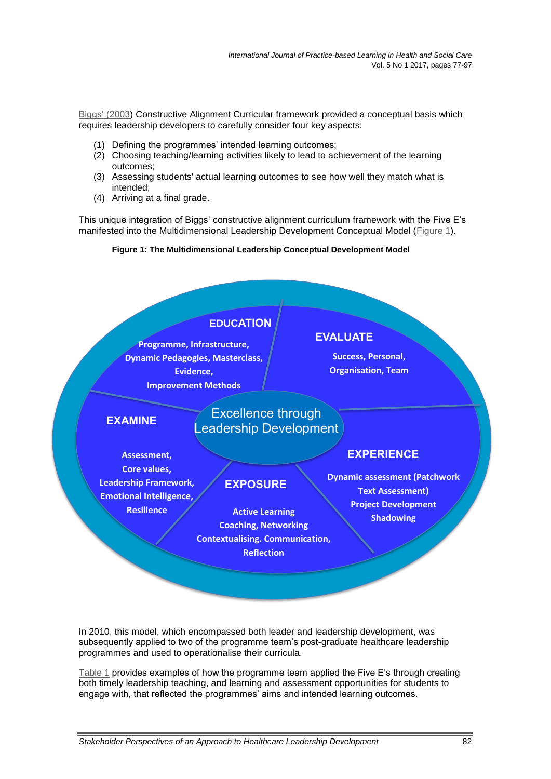[Biggs' \(2003\)](#page-18-5) Constructive Alignment Curricular framework provided a conceptual basis which requires leadership developers to carefully consider four key aspects:

- (1) Defining the programmes' intended learning outcomes;
- (2) Choosing teaching/learning activities likely to lead to achievement of the learning outcomes;
- (3) Assessing students' actual learning outcomes to see how well they match what is intended;
- (4) Arriving at a final grade.

<span id="page-6-0"></span>This unique integration of Biggs' constructive alignment curriculum framework with the Five E's manifested into the Multidimensional Leadership Development Conceptual Model [\(Figure 1\)](#page-6-0).

### **Figure 1: The Multidimensional Leadership Conceptual Development Model**



In 2010, this model, which encompassed both leader and leadership development, was subsequently applied to two of the programme team's post-graduate healthcare leadership programmes and used to operationalise their curricula.

[Table 1](#page-7-0) provides examples of how the programme team applied the Five E's through creating both timely leadership teaching, and learning and assessment opportunities for students to engage with, that reflected the programmes' aims and intended learning outcomes.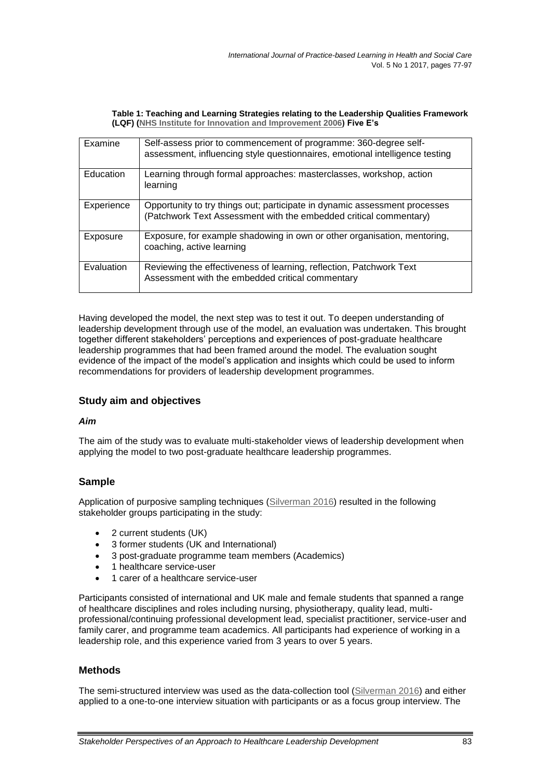#### **Table 1: Teaching and Learning Strategies relating to the Leadership Qualities Framework (LQF) [\(NHS Institute for Innovation and Improvement 2006\)](#page-20-0) Five E's**

<span id="page-7-0"></span>

| Examine    | Self-assess prior to commencement of programme: 360-degree self-<br>assessment, influencing style questionnaires, emotional intelligence testing |
|------------|--------------------------------------------------------------------------------------------------------------------------------------------------|
| Education  | Learning through formal approaches: masterclasses, workshop, action<br>learning                                                                  |
| Experience | Opportunity to try things out; participate in dynamic assessment processes<br>(Patchwork Text Assessment with the embedded critical commentary)  |
| Exposure   | Exposure, for example shadowing in own or other organisation, mentoring,<br>coaching, active learning                                            |
| Evaluation | Reviewing the effectiveness of learning, reflection, Patchwork Text<br>Assessment with the embedded critical commentary                          |

Having developed the model, the next step was to test it out. To deepen understanding of leadership development through use of the model, an evaluation was undertaken. This brought together different stakeholders' perceptions and experiences of post-graduate healthcare leadership programmes that had been framed around the model. The evaluation sought evidence of the impact of the model's application and insights which could be used to inform recommendations for providers of leadership development programmes.

# **Study aim and objectives**

### *Aim*

The aim of the study was to evaluate multi-stakeholder views of leadership development when applying the model to two post-graduate healthcare leadership programmes.

# **Sample**

Application of purposive sampling techniques [\(Silverman 2016\)](#page-20-10) resulted in the following stakeholder groups participating in the study:

- 2 current students (UK)
- 3 former students (UK and International)
- 3 post-graduate programme team members (Academics)
- 1 healthcare service-user
- 1 carer of a healthcare service-user

Participants consisted of international and UK male and female students that spanned a range of healthcare disciplines and roles including nursing, physiotherapy, quality lead, multiprofessional/continuing professional development lead, specialist practitioner, service-user and family carer, and programme team academics. All participants had experience of working in a leadership role, and this experience varied from 3 years to over 5 years.

# **Methods**

The semi-structured interview was used as the data-collection tool [\(Silverman 2016\)](#page-20-10) and either applied to a one-to-one interview situation with participants or as a focus group interview. The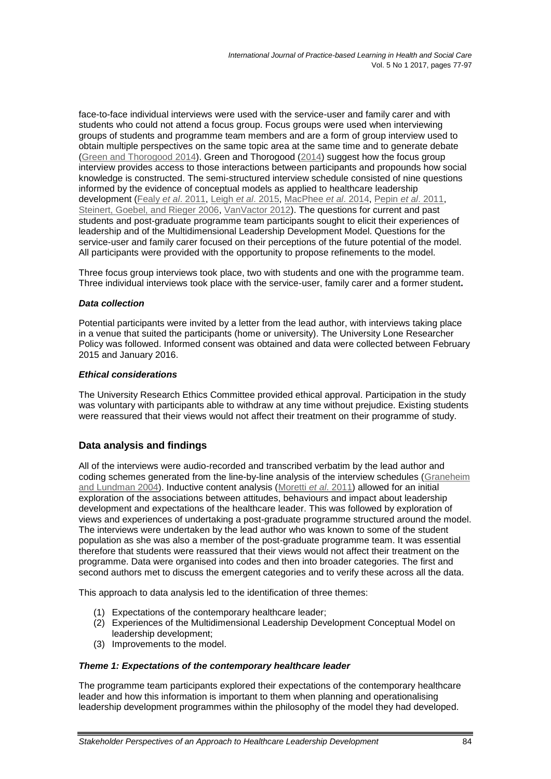face-to-face individual interviews were used with the service-user and family carer and with students who could not attend a focus group. Focus groups were used when interviewing groups of students and programme team members and are a form of group interview used to obtain multiple perspectives on the same topic area at the same time and to generate debate [\(Green and Thorogood](#page-18-6) 2014). Green and Thorogood [\(2014\)](#page-18-6) suggest how the focus group interview provides access to those interactions between participants and propounds how social knowledge is constructed. The semi-structured interview schedule consisted of nine questions informed by the evidence of conceptual models as applied to healthcare leadership development (Fealy *et al*[. 2011,](#page-18-0) Leigh *et al*[. 2015,](#page-19-0) [MacPhee](#page-19-1) *et al*. 2014, Pepin *et al*[. 2011,](#page-20-2) [Steinert, Goebel, and Rieger 2006,](#page-20-3) [VanVactor 2012\)](#page-21-1). The questions for current and past students and post-graduate programme team participants sought to elicit their experiences of leadership and of the Multidimensional Leadership Development Model. Questions for the service-user and family carer focused on their perceptions of the future potential of the model. All participants were provided with the opportunity to propose refinements to the model.

Three focus group interviews took place, two with students and one with the programme team. Three individual interviews took place with the service-user, family carer and a former student**.** 

#### *Data collection*

Potential participants were invited by a letter from the lead author, with interviews taking place in a venue that suited the participants (home or university). The University Lone Researcher Policy was followed. Informed consent was obtained and data were collected between February 2015 and January 2016.

#### *Ethical considerations*

The University Research Ethics Committee provided ethical approval. Participation in the study was voluntary with participants able to withdraw at any time without prejudice. Existing students were reassured that their views would not affect their treatment on their programme of study.

# **Data analysis and findings**

All of the interviews were audio-recorded and transcribed verbatim by the lead author and coding schemes generated from the line-by-line analysis of the interview schedules [\(Graneheim](#page-18-7)  [and Lundman 2004\)](#page-18-7). Inductive content analysis [\(Moretti](#page-20-11) *et al*. 2011) allowed for an initial exploration of the associations between attitudes, behaviours and impact about leadership development and expectations of the healthcare leader. This was followed by exploration of views and experiences of undertaking a post-graduate programme structured around the model. The interviews were undertaken by the lead author who was known to some of the student population as she was also a member of the post-graduate programme team. It was essential therefore that students were reassured that their views would not affect their treatment on the programme. Data were organised into codes and then into broader categories. The first and second authors met to discuss the emergent categories and to verify these across all the data.

This approach to data analysis led to the identification of three themes:

- (1) Expectations of the contemporary healthcare leader;
- (2) Experiences of the Multidimensional Leadership Development Conceptual Model on leadership development;
- (3) Improvements to the model.

#### *Theme 1: Expectations of the contemporary healthcare leader*

The programme team participants explored their expectations of the contemporary healthcare leader and how this information is important to them when planning and operationalising leadership development programmes within the philosophy of the model they had developed.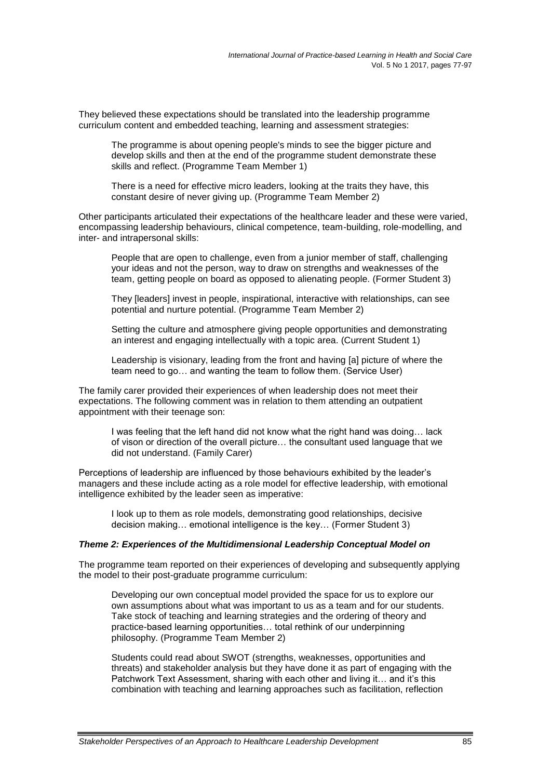They believed these expectations should be translated into the leadership programme curriculum content and embedded teaching, learning and assessment strategies:

The programme is about opening people's minds to see the bigger picture and develop skills and then at the end of the programme student demonstrate these skills and reflect. (Programme Team Member 1)

There is a need for effective micro leaders, looking at the traits they have, this constant desire of never giving up. (Programme Team Member 2)

Other participants articulated their expectations of the healthcare leader and these were varied, encompassing leadership behaviours, clinical competence, team-building, role-modelling, and inter- and intrapersonal skills:

People that are open to challenge, even from a junior member of staff, challenging your ideas and not the person, way to draw on strengths and weaknesses of the team, getting people on board as opposed to alienating people. (Former Student 3)

They [leaders] invest in people, inspirational, interactive with relationships, can see potential and nurture potential. (Programme Team Member 2)

Setting the culture and atmosphere giving people opportunities and demonstrating an interest and engaging intellectually with a topic area. (Current Student 1)

Leadership is visionary, leading from the front and having [a] picture of where the team need to go… and wanting the team to follow them. (Service User)

The family carer provided their experiences of when leadership does not meet their expectations. The following comment was in relation to them attending an outpatient appointment with their teenage son:

I was feeling that the left hand did not know what the right hand was doing… lack of vison or direction of the overall picture… the consultant used language that we did not understand. (Family Carer)

Perceptions of leadership are influenced by those behaviours exhibited by the leader's managers and these include acting as a role model for effective leadership, with emotional intelligence exhibited by the leader seen as imperative:

I look up to them as role models, demonstrating good relationships, decisive decision making… emotional intelligence is the key… (Former Student 3)

#### *Theme 2: Experiences of the Multidimensional Leadership Conceptual Model on*

The programme team reported on their experiences of developing and subsequently applying the model to their post-graduate programme curriculum:

Developing our own conceptual model provided the space for us to explore our own assumptions about what was important to us as a team and for our students. Take stock of teaching and learning strategies and the ordering of theory and practice-based learning opportunities… total rethink of our underpinning philosophy. (Programme Team Member 2)

Students could read about SWOT (strengths, weaknesses, opportunities and threats) and stakeholder analysis but they have done it as part of engaging with the Patchwork Text Assessment, sharing with each other and living it… and it's this combination with teaching and learning approaches such as facilitation, reflection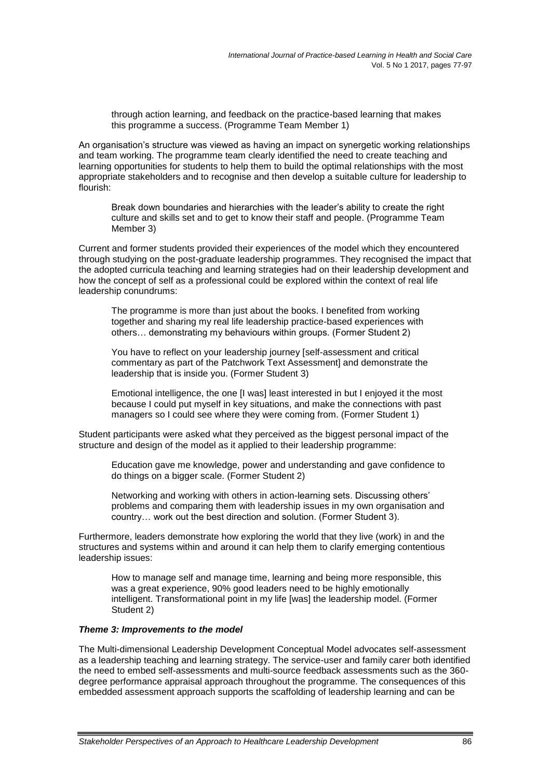through action learning, and feedback on the practice-based learning that makes this programme a success. (Programme Team Member 1)

An organisation's structure was viewed as having an impact on synergetic working relationships and team working. The programme team clearly identified the need to create teaching and learning opportunities for students to help them to build the optimal relationships with the most appropriate stakeholders and to recognise and then develop a suitable culture for leadership to flourish:

Break down boundaries and hierarchies with the leader's ability to create the right culture and skills set and to get to know their staff and people. (Programme Team Member 3)

Current and former students provided their experiences of the model which they encountered through studying on the post-graduate leadership programmes. They recognised the impact that the adopted curricula teaching and learning strategies had on their leadership development and how the concept of self as a professional could be explored within the context of real life leadership conundrums:

The programme is more than just about the books. I benefited from working together and sharing my real life leadership practice-based experiences with others… demonstrating my behaviours within groups. (Former Student 2)

You have to reflect on your leadership journey [self-assessment and critical commentary as part of the Patchwork Text Assessment] and demonstrate the leadership that is inside you. (Former Student 3)

Emotional intelligence, the one [I was] least interested in but I enjoyed it the most because I could put myself in key situations, and make the connections with past managers so I could see where they were coming from. (Former Student 1)

Student participants were asked what they perceived as the biggest personal impact of the structure and design of the model as it applied to their leadership programme:

Education gave me knowledge, power and understanding and gave confidence to do things on a bigger scale. (Former Student 2)

Networking and working with others in action-learning sets. Discussing others' problems and comparing them with leadership issues in my own organisation and country… work out the best direction and solution. (Former Student 3).

Furthermore, leaders demonstrate how exploring the world that they live (work) in and the structures and systems within and around it can help them to clarify emerging contentious leadership issues:

How to manage self and manage time, learning and being more responsible, this was a great experience, 90% good leaders need to be highly emotionally intelligent. Transformational point in my life [was] the leadership model. (Former Student 2)

#### *Theme 3: Improvements to the model*

The Multi-dimensional Leadership Development Conceptual Model advocates self-assessment as a leadership teaching and learning strategy. The service-user and family carer both identified the need to embed self-assessments and multi-source feedback assessments such as the 360 degree performance appraisal approach throughout the programme. The consequences of this embedded assessment approach supports the scaffolding of leadership learning and can be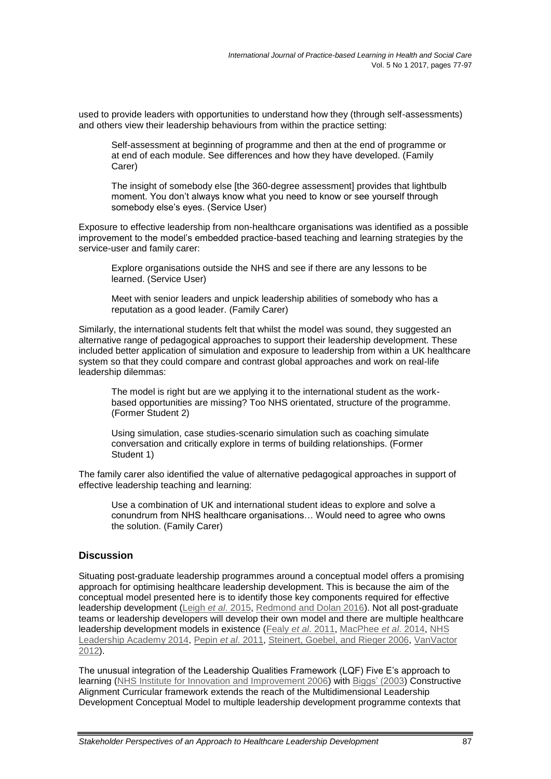used to provide leaders with opportunities to understand how they (through self-assessments) and others view their leadership behaviours from within the practice setting:

Self-assessment at beginning of programme and then at the end of programme or at end of each module. See differences and how they have developed. (Family Carer)

The insight of somebody else [the 360-degree assessment] provides that lightbulb moment. You don't always know what you need to know or see yourself through somebody else's eyes. (Service User)

Exposure to effective leadership from non-healthcare organisations was identified as a possible improvement to the model's embedded practice-based teaching and learning strategies by the service-user and family carer:

Explore organisations outside the NHS and see if there are any lessons to be learned. (Service User)

Meet with senior leaders and unpick leadership abilities of somebody who has a reputation as a good leader. (Family Carer)

Similarly, the international students felt that whilst the model was sound, they suggested an alternative range of pedagogical approaches to support their leadership development. These included better application of simulation and exposure to leadership from within a UK healthcare system so that they could compare and contrast global approaches and work on real-life leadership dilemmas:

The model is right but are we applying it to the international student as the workbased opportunities are missing? Too NHS orientated, structure of the programme. (Former Student 2)

Using simulation, case studies-scenario simulation such as coaching simulate conversation and critically explore in terms of building relationships. (Former Student 1)

The family carer also identified the value of alternative pedagogical approaches in support of effective leadership teaching and learning:

Use a combination of UK and international student ideas to explore and solve a conundrum from NHS healthcare organisations… Would need to agree who owns the solution. (Family Carer)

### **Discussion**

Situating post-graduate leadership programmes around a conceptual model offers a promising approach for optimising healthcare leadership development. This is because the aim of the conceptual model presented here is to identify those key components required for effective leadership development (Leigh *et al*[. 2015,](#page-19-0) [Redmond and Dolan 2016\)](#page-20-5). Not all post-graduate teams or leadership developers will develop their own model and there are multiple healthcare leadership development models in existence (Fealy *et al*[. 2011,](#page-18-0) [MacPhee](#page-19-1) *et al*. 2014, [NHS](#page-20-12)  [Leadership Academy 2014,](#page-20-12) Pepin *et al*[. 2011,](#page-20-2) [Steinert, Goebel, and Rieger 2006,](#page-20-3) [VanVactor](#page-21-1)  [2012\)](#page-21-1).

The unusual integration of the Leadership Qualities Framework (LQF) Five E's approach to learning [\(NHS Institute for Innovation and Improvement 2006\)](#page-20-0) with [Biggs' \(2003\)](#page-18-5) Constructive Alignment Curricular framework extends the reach of the Multidimensional Leadership Development Conceptual Model to multiple leadership development programme contexts that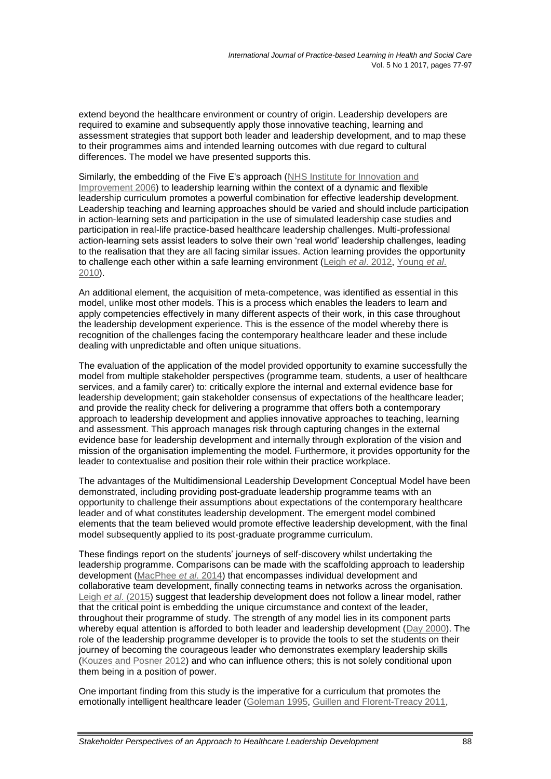extend beyond the healthcare environment or country of origin. Leadership developers are required to examine and subsequently apply those innovative teaching, learning and assessment strategies that support both leader and leadership development, and to map these to their programmes aims and intended learning outcomes with due regard to cultural differences. The model we have presented supports this.

Similarly, the embedding of the Five E's approach [\(NHS Institute for Innovation and](#page-20-0)  [Improvement 2006\)](#page-20-0) to leadership learning within the context of a dynamic and flexible leadership curriculum promotes a powerful combination for effective leadership development. Leadership teaching and learning approaches should be varied and should include participation in action-learning sets and participation in the use of simulated leadership case studies and participation in real-life practice-based healthcare leadership challenges. Multi-professional action-learning sets assist leaders to solve their own 'real world' leadership challenges, leading to the realisation that they are all facing similar issues. Action learning provides the opportunity to challenge each other within a safe learning environment (Leigh *et al*[. 2012,](#page-19-3) [Young](#page-21-2) *et al*. [2010\)](#page-21-2).

An additional element, the acquisition of meta-competence, was identified as essential in this model, unlike most other models. This is a process which enables the leaders to learn and apply competencies effectively in many different aspects of their work, in this case throughout the leadership development experience. This is the essence of the model whereby there is recognition of the challenges facing the contemporary healthcare leader and these include dealing with unpredictable and often unique situations.

The evaluation of the application of the model provided opportunity to examine successfully the model from multiple stakeholder perspectives (programme team, students, a user of healthcare services, and a family carer) to: critically explore the internal and external evidence base for leadership development; gain stakeholder consensus of expectations of the healthcare leader; and provide the reality check for delivering a programme that offers both a contemporary approach to leadership development and applies innovative approaches to teaching, learning and assessment. This approach manages risk through capturing changes in the external evidence base for leadership development and internally through exploration of the vision and mission of the organisation implementing the model. Furthermore, it provides opportunity for the leader to contextualise and position their role within their practice workplace.

The advantages of the Multidimensional Leadership Development Conceptual Model have been demonstrated, including providing post-graduate leadership programme teams with an opportunity to challenge their assumptions about expectations of the contemporary healthcare leader and of what constitutes leadership development. The emergent model combined elements that the team believed would promote effective leadership development, with the final model subsequently applied to its post-graduate programme curriculum.

These findings report on the students' journeys of self-discovery whilst undertaking the leadership programme. Comparisons can be made with the scaffolding approach to leadership development [\(MacPhee](#page-19-1) *et al*. 2014) that encompasses individual development and collaborative team development, finally connecting teams in networks across the organisation. Leigh *et al*[. \(2015\)](#page-19-0) suggest that leadership development does not follow a linear model, rather that the critical point is embedding the unique circumstance and context of the leader, throughout their programme of study. The strength of any model lies in its component parts whereby equal attention is afforded to both leader and leadership development [\(Day 2000\)](#page-18-1). The role of the leadership programme developer is to provide the tools to set the students on their journey of becoming the courageous leader who demonstrates exemplary leadership skills [\(Kouzes and Posner 2012\)](#page-19-5) and who can influence others; this is not solely conditional upon them being in a position of power.

One important finding from this study is the imperative for a curriculum that promotes the emotionally intelligent healthcare leader [\(Goleman 1995,](#page-18-8) [Guillen and Florent-Treacy 2011,](#page-19-9)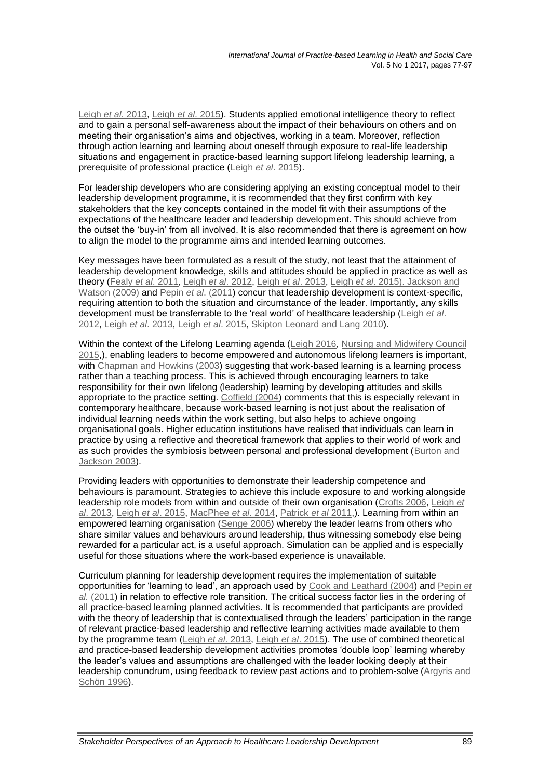Leigh *et al*[. 2013,](#page-19-8) Leigh *et al*[. 2015\)](#page-19-0). Students applied emotional intelligence theory to reflect and to gain a personal self-awareness about the impact of their behaviours on others and on meeting their organisation's aims and objectives, working in a team. Moreover, reflection through action learning and learning about oneself through exposure to real-life leadership situations and engagement in practice-based learning support lifelong leadership learning, a prerequisite of professional practice (Leigh *et al*[. 2015\)](#page-19-0).

For leadership developers who are considering applying an existing conceptual model to their leadership development programme, it is recommended that they first confirm with key stakeholders that the key concepts contained in the model fit with their assumptions of the expectations of the healthcare leader and leadership development. This should achieve from the outset the 'buy-in' from all involved. It is also recommended that there is agreement on how to align the model to the programme aims and intended learning outcomes.

Key messages have been formulated as a result of the study, not least that the attainment of leadership development knowledge, skills and attitudes should be applied in practice as well as theory (Fealy *et al*[. 2011,](#page-18-0) Leigh *et al*[. 2012,](#page-19-3) Leigh *et al*[. 2013,](#page-19-8) Leigh *et al*[. 2015\). Jackson and](#page-19-0)  [Watson \(2009\)](#page-19-10) and Pepin *et al*[. \(2011\)](#page-20-2) concur that leadership development is context-specific, requiring attention to both the situation and circumstance of the leader. Importantly, any skills development must be transferrable to the 'real world' of healthcare leadership [\(Leigh](#page-19-3) *et al*. [2012,](#page-19-3) Leigh *et al*[. 2013,](#page-19-8) Leigh *et al*[. 2015,](#page-19-0) [Skipton Leonard and Lang 2010\)](#page-20-13).

Within the context of the Lifelong Learning agenda [\(Leigh 2016,](#page-19-3) [Nursing and Midwifery Council](#page-20-14) [2015,](#page-20-14)), enabling leaders to become empowered and autonomous lifelong learners is important, with [Chapman and Howkins \(2003\)](#page-18-9) suggesting that work-based learning is a learning process rather than a teaching process. This is achieved through encouraging learners to take responsibility for their own lifelong (leadership) learning by developing attitudes and skills appropriate to the practice setting. [Coffield \(2004\)](#page-18-10) comments that this is especially relevant in contemporary healthcare, because work-based learning is not just about the realisation of individual learning needs within the work setting, but also helps to achieve ongoing organisational goals. Higher education institutions have realised that individuals can learn in practice by using a reflective and theoretical framework that applies to their world of work and as such provides the symbiosis between personal and professional development [\(Burton and](#page-18-11)  [Jackson 2003\)](#page-18-11).

Providing leaders with opportunities to demonstrate their leadership competence and behaviours is paramount. Strategies to achieve this include exposure to and working alongside leadership role models from within and outside of their own organisation [\(Crofts 2006,](#page-18-3) [Leigh](#page-19-8) *et al*[. 2013,](#page-19-8) Leigh *et al*[. 2015,](#page-19-0) [MacPhee](#page-19-1) *et al*. 2014, [Patrick](#page-20-8) *et al* 2011,). Learning from within an empowered learning organisation [\(Senge 2006\)](#page-20-7) whereby the leader learns from others who share similar values and behaviours around leadership, thus witnessing somebody else being rewarded for a particular act, is a useful approach. Simulation can be applied and is especially useful for those situations where the work-based experience is unavailable.

Curriculum planning for leadership development requires the implementation of suitable opportunities for 'learning to lead', an approach used by [Cook and Leathard \(2004\)](#page-18-4) and [Pepin](#page-20-2) *et al.* [\(2011\)](#page-20-2) in relation to effective role transition. The critical success factor lies in the ordering of all practice-based learning planned activities. It is recommended that participants are provided with the theory of leadership that is contextualised through the leaders' participation in the range of relevant practice-based leadership and reflective learning activities made available to them by the programme team (Leigh *et al*[. 2013,](#page-19-8) Leigh *et al*[. 2015\)](#page-19-0). The use of combined theoretical and practice-based leadership development activities promotes 'double loop' learning whereby the leader's values and assumptions are challenged with the leader looking deeply at their leadership conundrum, using feedback to review past actions and to problem-solve [\(Argyris and](#page-18-12)  [Schön](#page-18-12) 1996).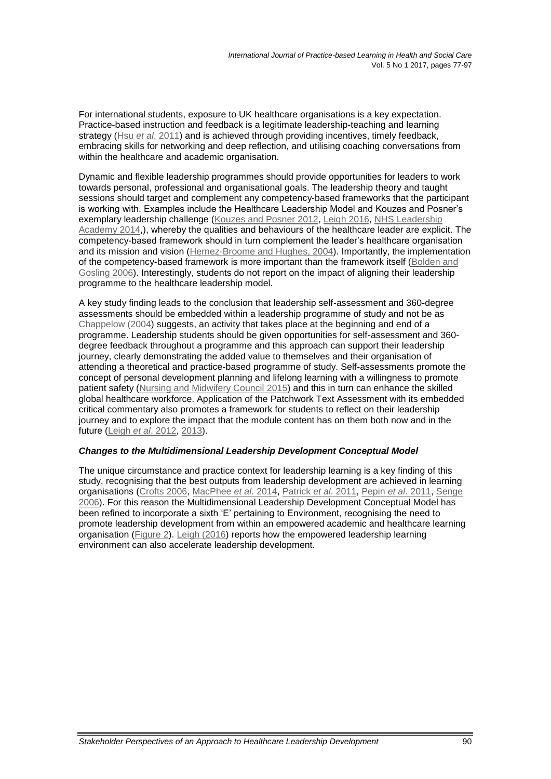For international students, exposure to UK healthcare organisations is a key expectation. Practice-based instruction and feedback is a legitimate leadership-teaching and learning strategy (Hsu *et al*[. 2011\)](#page-19-4) and is achieved through providing incentives, timely feedback, embracing skills for networking and deep reflection, and utilising coaching conversations from within the healthcare and academic organisation.

Dynamic and flexible leadership programmes should provide opportunities for leaders to work towards personal, professional and organisational goals. The leadership theory and taught sessions should target and complement any competency-based frameworks that the participant is working with. Examples include the Healthcare Leadership Model and Kouzes and Posner's exemplary leadership challenge [\(Kouzes and Posner 2012,](#page-19-5) [Leigh 2016,](#page-19-3) NHS Leadership [Academy 2014,](#page-20-12)), whereby the qualities and behaviours of the healthcare leader are explicit. The competency-based framework should in turn complement the leader's healthcare organisation and its mission and vision [\(Hernez-Broome and Hughes, 2004\)](#page-19-11). Importantly, the implementation of the competency-based framework is more important than the framework itself [\(Bolden and](#page-18-13)  [Gosling 2006\)](#page-18-13). Interestingly, students do not report on the impact of aligning their leadership programme to the healthcare leadership model.

A key study finding leads to the conclusion that leadership self-assessment and 360-degree assessments should be embedded within a leadership programme of study and not be as [Chappelow \(2004\)](#page-18-14) suggests, an activity that takes place at the beginning and end of a programme. Leadership students should be given opportunities for self-assessment and 360 degree feedback throughout a programme and this approach can support their leadership journey, clearly demonstrating the added value to themselves and their organisation of attending a theoretical and practice-based programme of study. Self-assessments promote the concept of personal development planning and lifelong learning with a willingness to promote patient safety [\(Nursing and Midwifery Council](#page-20-14) 2015) and this in turn can enhance the skilled global healthcare workforce. Application of the Patchwork Text Assessment with its embedded critical commentary also promotes a framework for students to reflect on their leadership journey and to explore the impact that the module content has on them both now and in the future (Leigh *et al*[. 2012,](#page-19-3) [2013\)](#page-19-8).

### *Changes to the Multidimensional Leadership Development Conceptual Model*

The unique circumstance and practice context for leadership learning is a key finding of this study, recognising that the best outputs from leadership development are achieved in learning organisations [\(Crofts 2006,](#page-18-3) [MacPhee](#page-19-1) *et al*. 2014, [Patrick](#page-20-8) *et al*. 2011, [Pepin](#page-20-2) *et al*. 2011, [Senge](#page-20-7)  [2006\)](#page-20-7). For this reason the Multidimensional Leadership Development Conceptual Model has been refined to incorporate a sixth 'E' pertaining to Environment, recognising the need to promote leadership development from within an empowered academic and healthcare learning organisation [\(Figure 2\)](#page-15-0). [Leigh \(2016\)](#page-19-3) reports how the empowered leadership learning environment can also accelerate leadership development.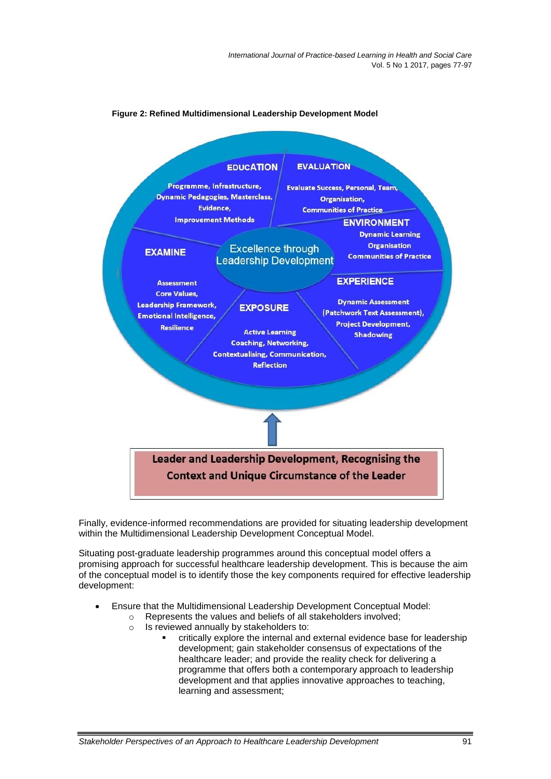*International Journal of Practice-based Learning in Health and Social Care* Vol. 5 No 1 2017, pages 77-97

<span id="page-15-0"></span>

#### **Figure 2: Refined Multidimensional Leadership Development Model**

Finally, evidence-informed recommendations are provided for situating leadership development within the Multidimensional Leadership Development Conceptual Model.

Situating post-graduate leadership programmes around this conceptual model offers a promising approach for successful healthcare leadership development. This is because the aim of the conceptual model is to identify those the key components required for effective leadership development:

- Ensure that the Multidimensional Leadership Development Conceptual Model:
	- o Represents the values and beliefs of all stakeholders involved;
	- o Is reviewed annually by stakeholders to:
		- critically explore the internal and external evidence base for leadership development; gain stakeholder consensus of expectations of the healthcare leader; and provide the reality check for delivering a programme that offers both a contemporary approach to leadership development and that applies innovative approaches to teaching, learning and assessment;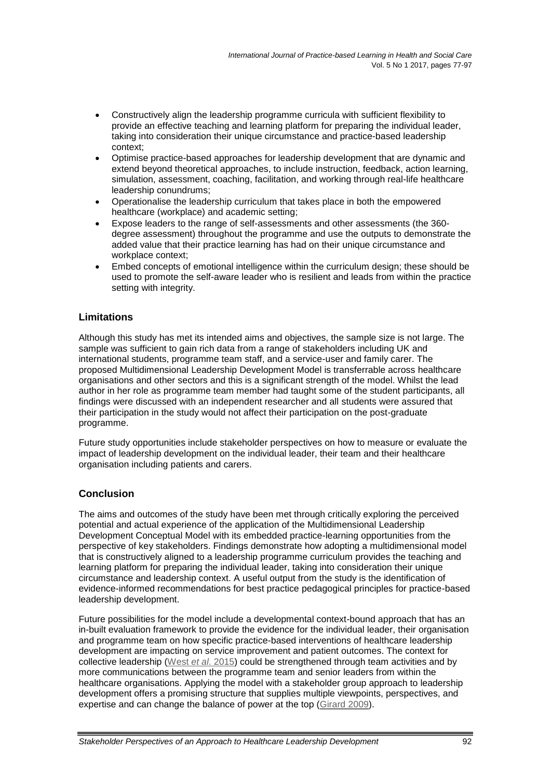- Constructively align the leadership programme curricula with sufficient flexibility to provide an effective teaching and learning platform for preparing the individual leader, taking into consideration their unique circumstance and practice-based leadership context;
- Optimise practice-based approaches for leadership development that are dynamic and extend beyond theoretical approaches, to include instruction, feedback, action learning, simulation, assessment, coaching, facilitation, and working through real-life healthcare leadership conundrums;
- Operationalise the leadership curriculum that takes place in both the empowered healthcare (workplace) and academic setting;
- Expose leaders to the range of self-assessments and other assessments (the 360 degree assessment) throughout the programme and use the outputs to demonstrate the added value that their practice learning has had on their unique circumstance and workplace context;
- Embed concepts of emotional intelligence within the curriculum design; these should be used to promote the self-aware leader who is resilient and leads from within the practice setting with integrity.

# **Limitations**

Although this study has met its intended aims and objectives, the sample size is not large. The sample was sufficient to gain rich data from a range of stakeholders including UK and international students, programme team staff, and a service-user and family carer. The proposed Multidimensional Leadership Development Model is transferrable across healthcare organisations and other sectors and this is a significant strength of the model. Whilst the lead author in her role as programme team member had taught some of the student participants, all findings were discussed with an independent researcher and all students were assured that their participation in the study would not affect their participation on the post-graduate programme.

Future study opportunities include stakeholder perspectives on how to measure or evaluate the impact of leadership development on the individual leader, their team and their healthcare organisation including patients and carers.

# **Conclusion**

The aims and outcomes of the study have been met through critically exploring the perceived potential and actual experience of the application of the Multidimensional Leadership Development Conceptual Model with its embedded practice-learning opportunities from the perspective of key stakeholders. Findings demonstrate how adopting a multidimensional model that is constructively aligned to a leadership programme curriculum provides the teaching and learning platform for preparing the individual leader, taking into consideration their unique circumstance and leadership context. A useful output from the study is the identification of evidence-informed recommendations for best practice pedagogical principles for practice-based leadership development.

Future possibilities for the model include a developmental context-bound approach that has an in-built evaluation framework to provide the evidence for the individual leader, their organisation and programme team on how specific practice-based interventions of healthcare leadership development are impacting on service improvement and patient outcomes. The context for collective leadership (West *et al*[. 2015\)](#page-21-0) could be strengthened through team activities and by more communications between the programme team and senior leaders from within the healthcare organisations. Applying the model with a stakeholder group approach to leadership development offers a promising structure that supplies multiple viewpoints, perspectives, and expertise and can change the balance of power at the top [\(Girard 2009\)](#page-18-15).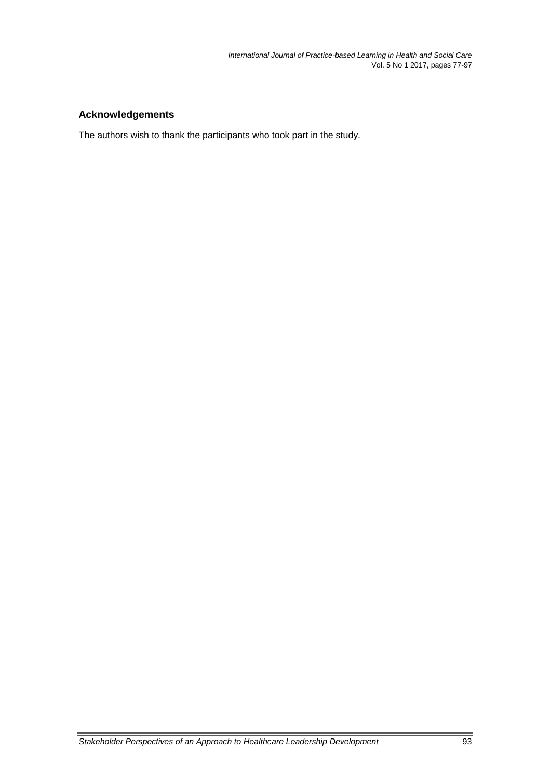# **Acknowledgements**

The authors wish to thank the participants who took part in the study.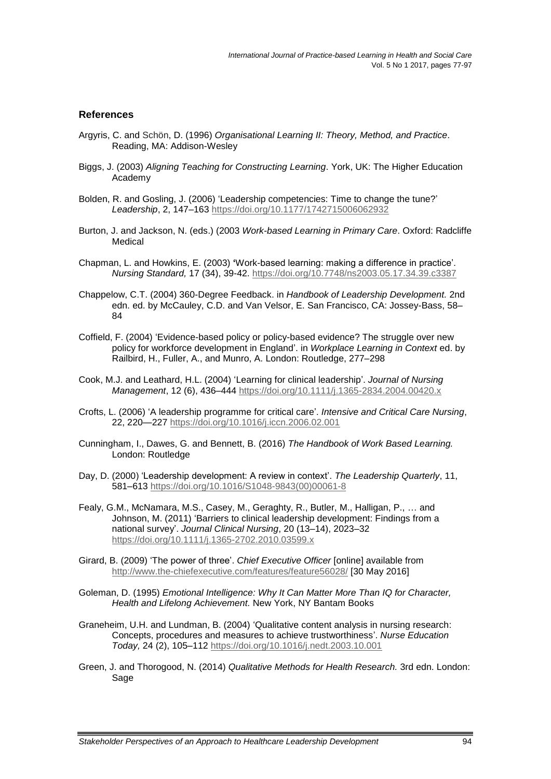#### **References**

- <span id="page-18-12"></span>Argyris, C. and Schön, D. (1996) *Organisational Learning II: Theory, Method, and Practice*. Reading, MA: Addison-Wesley
- <span id="page-18-5"></span>Biggs, J. (2003) *Aligning Teaching for Constructing Learning*. York, UK: The Higher Education Academy
- <span id="page-18-13"></span>Bolden, R. and Gosling, J. (2006) 'Leadership competencies: Time to change the tune?' *Leadership*, 2, 147–163 <https://doi.org/10.1177/1742715006062932>
- <span id="page-18-11"></span>Burton, J. and Jackson, N. (eds.) (2003 *Work-based Learning in Primary Care*. Oxford: Radcliffe Medical
- <span id="page-18-9"></span>Chapman, L. and Howkins, E. (2003) **'**Work-based learning: making a difference in practice'. *Nursing Standard,* 17 (34), 39-42.<https://doi.org/10.7748/ns2003.05.17.34.39.c3387>
- <span id="page-18-14"></span>Chappelow, C.T. (2004) 360-Degree Feedback. in *Handbook of Leadership Development.* 2nd edn. ed. by McCauley, C.D. and Van Velsor, E. San Francisco, CA: Jossey-Bass, 58– 84
- <span id="page-18-10"></span>Coffield, F. (2004) 'Evidence-based policy or policy-based evidence? The struggle over new policy for workforce development in England'. in *Workplace Learning in Context* ed. by Railbird, H., Fuller, A., and Munro, A. London: Routledge, 277–298
- <span id="page-18-4"></span>Cook, M.J. and Leathard, H.L. (2004) 'Learning for clinical leadership'. *Journal of Nursing Management*, 12 (6), 436–444 <https://doi.org/10.1111/j.1365-2834.2004.00420.x>
- <span id="page-18-3"></span>Crofts, L. (2006) 'A leadership programme for critical care'. *Intensive and Critical Care Nursing*, 22, 220—227 <https://doi.org/10.1016/j.iccn.2006.02.001>
- <span id="page-18-2"></span>Cunningham, I., Dawes, G. and Bennett, B. (2016) *The Handbook of Work Based Learning.* London: Routledge
- <span id="page-18-1"></span>Day, D. (2000) 'Leadership development: A review in context'. *The Leadership Quarterly*, 11, 581–613 [https://doi.org/10.1016/S1048-9843\(00\)00061-8](https://doi.org/10.1016/S1048-9843(00)00061-8)
- <span id="page-18-0"></span>Fealy, G.M., McNamara, M.S., Casey, M., Geraghty, R., Butler, M., Halligan, P., … and Johnson, M. (2011) 'Barriers to clinical leadership development: Findings from a national survey'. *Journal Clinical Nursing*, 20 (13–14), 2023–32 <https://doi.org/10.1111/j.1365-2702.2010.03599.x>
- <span id="page-18-15"></span>Girard, B. (2009) 'The power of three'. *Chief Executive Officer* [online] available from <http://www.the-chiefexecutive.com/features/feature56028/> [30 May 2016]
- <span id="page-18-8"></span>Goleman, D. (1995) *Emotional Intelligence: Why It Can Matter More Than IQ for Character, Health and Lifelong Achievement.* New York, NY Bantam Books
- <span id="page-18-7"></span>Graneheim, U.H. and Lundman, B. (2004) 'Qualitative content analysis in nursing research: Concepts, procedures and measures to achieve trustworthiness'. *Nurse Education Today,* 24 (2), 105–112<https://doi.org/10.1016/j.nedt.2003.10.001>
- <span id="page-18-6"></span>Green, J. and Thorogood, N. (2014) *Qualitative Methods for Health Research.* 3rd edn. London: Sage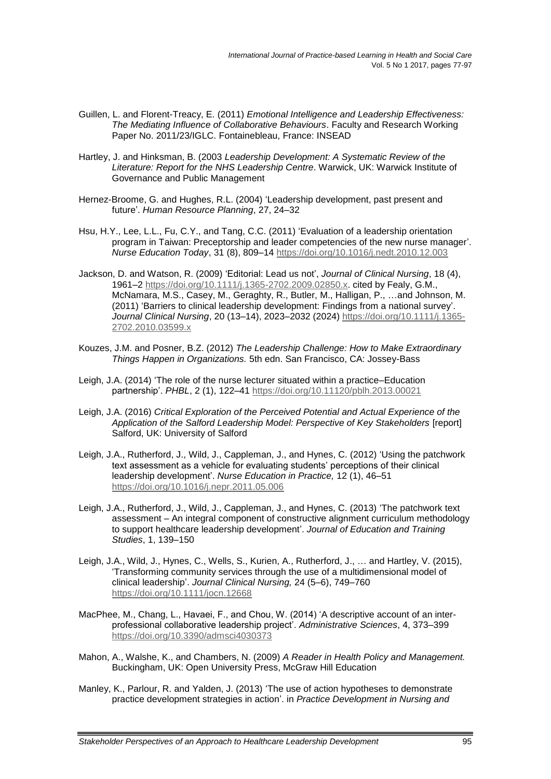- <span id="page-19-9"></span>Guillen, L. and Florent-Treacy, E. (2011) *Emotional Intelligence and Leadership Effectiveness: The Mediating Influence of Collaborative Behaviours*. Faculty and Research Working Paper No. 2011/23/IGLC. Fontainebleau, France: INSEAD
- <span id="page-19-2"></span>Hartley, J. and Hinksman, B. (2003 *Leadership Development: A Systematic Review of the Literature: Report for the NHS Leadership Centre*. Warwick, UK: Warwick Institute of Governance and Public Management
- <span id="page-19-11"></span>Hernez-Broome, G. and Hughes, R.L. (2004) 'Leadership development, past present and future'. *Human Resource Planning*, 27, 24–32
- <span id="page-19-4"></span>Hsu, H.Y., Lee, L.L., Fu, C.Y., and Tang, C.C. (2011) 'Evaluation of a leadership orientation program in Taiwan: Preceptorship and leader competencies of the new nurse manager'. *Nurse Education Today*, 31 (8), 809–14 <https://doi.org/10.1016/j.nedt.2010.12.003>
- <span id="page-19-10"></span>Jackson, D. and Watson, R. (2009) 'Editorial: Lead us not', *Journal of Clinical Nursing*, 18 (4), 1961–2 [https://doi.org/10.1111/j.1365-2702.2009.02850.x.](https://doi.org/10.1111/j.1365-2702.2009.02850.x) cited by Fealy, G.M., McNamara, M.S., Casey, M., Geraghty, R., Butler, M., Halligan, P., …and Johnson, M. (2011) 'Barriers to clinical leadership development: Findings from a national survey'. *Journal Clinical Nursing*, 20 (13–14), 2023–2032 (2024) [https://doi.org/10.1111/j.1365-](https://doi.org/10.1111/j.1365-2702.2010.03599.x) [2702.2010.03599.x](https://doi.org/10.1111/j.1365-2702.2010.03599.x)
- <span id="page-19-5"></span>Kouzes, J.M. and Posner, B.Z. (2012) *The Leadership Challenge: How to Make Extraordinary Things Happen in Organizations.* 5th edn. San Francisco, CA: Jossey-Bass
- <span id="page-19-6"></span>Leigh, J.A. (2014) 'The role of the nurse lecturer situated within a practice–Education partnership'. *PHBL*, 2 (1), 122–41 <https://doi.org/10.11120/pblh.2013.00021>
- <span id="page-19-3"></span>Leigh, J.A. (2016) *Critical Exploration of the Perceived Potential and Actual Experience of the Application of the Salford Leadership Model: Perspective of Key Stakeholders* [report] Salford, UK: University of Salford
- Leigh, J.A., Rutherford, J., Wild, J., Cappleman, J., and Hynes, C. (2012) 'Using the patchwork text assessment as a vehicle for evaluating students' perceptions of their clinical leadership development'. *Nurse Education in Practice,* 12 (1), 46–51 <https://doi.org/10.1016/j.nepr.2011.05.006>
- <span id="page-19-8"></span>Leigh, J.A., Rutherford, J., Wild, J., Cappleman, J., and Hynes, C. (2013) 'The patchwork text assessment – An integral component of constructive alignment curriculum methodology to support healthcare leadership development'. *Journal of Education and Training Studies*, 1, 139–150
- <span id="page-19-0"></span>Leigh, J.A., Wild, J., Hynes, C., Wells, S., Kurien, A., Rutherford, J., … and Hartley, V. (2015), 'Transforming community services through the use of a multidimensional model of clinical leadership'. *Journal Clinical Nursing,* 24 (5–6), 749–760 <https://doi.org/10.1111/jocn.12668>
- <span id="page-19-1"></span>MacPhee, M., Chang, L., Havaei, F., and Chou, W. (2014) 'A descriptive account of an interprofessional collaborative leadership project'. *Administrative Sciences*, 4, 373–399 <https://doi.org/10.3390/admsci4030373>
- Mahon, A., Walshe, K., and Chambers, N. (2009) *A Reader in Health Policy and Management.*  Buckingham, UK: Open University Press, McGraw Hill Education
- <span id="page-19-7"></span>Manley, K., Parlour, R. and Yalden, J. (2013) 'The use of action hypotheses to demonstrate practice development strategies in action'. in *Practice Development in Nursing and*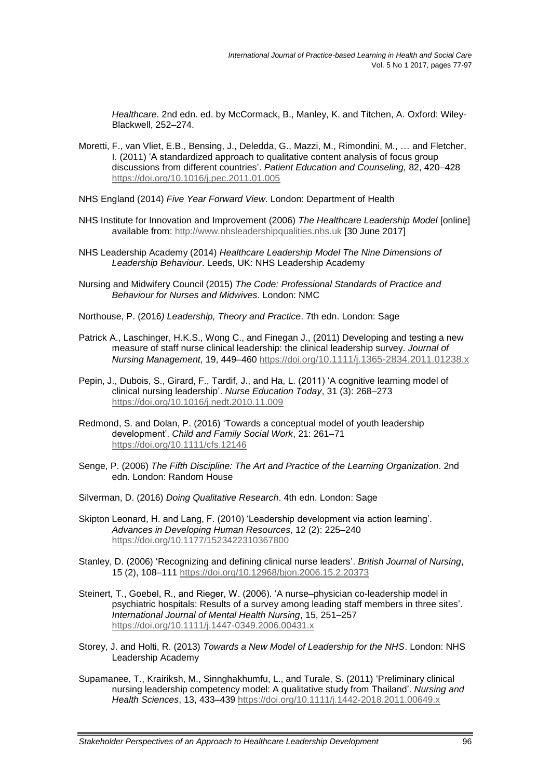*Healthcare*. 2nd edn. ed. by McCormack, B., Manley, K. and Titchen, A. Oxford: Wiley-Blackwell, 252–274.

- <span id="page-20-11"></span>Moretti, F., van Vliet, E.B., Bensing, J., Deledda, G., Mazzi, M., Rimondini, M., … and Fletcher, I. (2011) 'A standardized approach to qualitative content analysis of focus group discussions from different countries'. *Patient Education and Counseling,* 82, 420–428 <https://doi.org/10.1016/j.pec.2011.01.005>
- <span id="page-20-0"></span>NHS England (2014) *Five Year Forward View*. London: Department of Health
- NHS Institute for Innovation and Improvement (2006) *The Healthcare Leadership Model* [online] available from: [http://www.nhsleadershipqualities.nhs.uk](http://www.nhsleadershipqualities.nhs.uk/) [30 June 2017]
- <span id="page-20-12"></span>NHS Leadership Academy (2014) *Healthcare Leadership Model The Nine Dimensions of Leadership Behaviour*. Leeds, UK: NHS Leadership Academy
- <span id="page-20-14"></span>Nursing and Midwifery Council (2015) *The Code: Professional Standards of Practice and Behaviour for Nurses and Midwives*. London: NMC
- <span id="page-20-4"></span>Northouse, P. (2016*) Leadership, Theory and Practice*. 7th edn. London: Sage
- <span id="page-20-8"></span>Patrick A., Laschinger, H.K.S., Wong C., and Finegan J., (2011) Developing and testing a new measure of staff nurse clinical leadership: the clinical leadership survey. *Journal of Nursing Management*, 19, 449–460 https://doi.org/[10.1111/j.1365-2834.2011.01238.x](https://doi.org/10.1111/j.1365-2834.2011.01238.x)
- <span id="page-20-2"></span>Pepin, J., Dubois, S., Girard, F., Tardif, J., and Ha, L. (2011) 'A cognitive learning model of clinical nursing leadership'. *Nurse Education Today*, 31 (3): 268–273 <https://doi.org/10.1016/j.nedt.2010.11.009>
- <span id="page-20-5"></span>Redmond, S. and Dolan, P. (2016) 'Towards a conceptual model of youth leadership development'. *Child and Family Social Work*, 21: 261–71 <https://doi.org/10.1111/cfs.12146>
- <span id="page-20-7"></span>Senge, P. (2006) *The Fifth Discipline: The Art and Practice of the Learning Organization*. 2nd edn. London: Random House
- <span id="page-20-10"></span>Silverman, D. (2016) *Doing Qualitative Research*. 4th edn. London: Sage
- <span id="page-20-13"></span>Skipton Leonard, H. and Lang, F. (2010) 'Leadership development via action learning'. *Advances in Developing Human Resources*, 12 (2): 225–240 <https://doi.org/10.1177/1523422310367800>
- <span id="page-20-9"></span>Stanley, D. (2006) 'Recognizing and defining clinical nurse leaders'. *British Journal of Nursing*, 15 (2), 108–111 <https://doi.org/10.12968/bjon.2006.15.2.20373>
- <span id="page-20-3"></span>Steinert, T., Goebel, R., and Rieger, W. (2006). 'A nurse–physician co-leadership model in psychiatric hospitals: Results of a survey among leading staff members in three sites'. *International Journal of Mental Health Nursing*, 15, 251–257 <https://doi.org/10.1111/j.1447-0349.2006.00431.x>
- <span id="page-20-1"></span>Storey, J. and Holti, R. (2013) *Towards a New Model of Leadership for the NHS*. London: NHS Leadership Academy
- <span id="page-20-6"></span>Supamanee, T., Krairiksh, M., Sinnghakhumfu, L., and Turale, S. (2011) 'Preliminary clinical nursing leadership competency model: A qualitative study from Thailand'. *Nursing and Health Sciences*, 13, 433–439 <https://doi.org/10.1111/j.1442-2018.2011.00649.x>